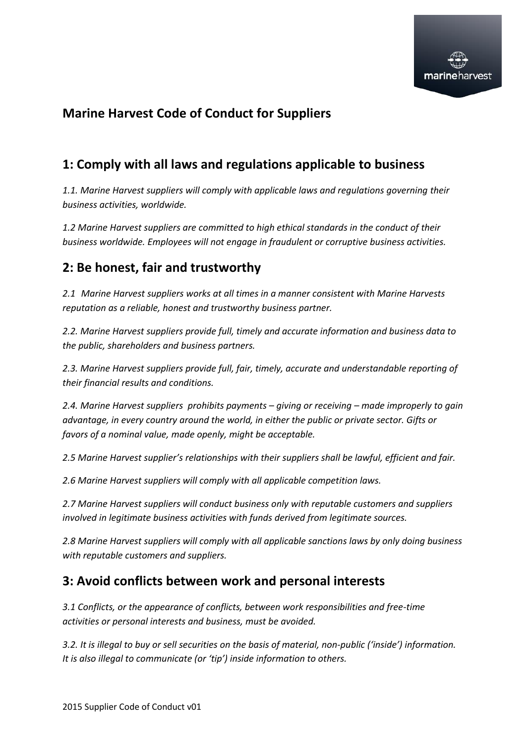

# **Marine Harvest Code of Conduct for Suppliers**

### **1: Comply with all laws and regulations applicable to business**

*1.1. Marine Harvest suppliers will comply with applicable laws and regulations governing their business activities, worldwide.*

*1.2 Marine Harvest suppliers are committed to high ethical standards in the conduct of their business worldwide. Employees will not engage in fraudulent or corruptive business activities.*

### **2: Be honest, fair and trustworthy**

*2.1 Marine Harvest suppliers works at all times in a manner consistent with Marine Harvests reputation as a reliable, honest and trustworthy business partner.*

*2.2. Marine Harvest suppliers provide full, timely and accurate information and business data to the public, shareholders and business partners.*

*2.3. Marine Harvest suppliers provide full, fair, timely, accurate and understandable reporting of their financial results and conditions.*

*2.4. Marine Harvest suppliers prohibits payments – giving or receiving – made improperly to gain advantage, in every country around the world, in either the public or private sector. Gifts or favors of a nominal value, made openly, might be acceptable.*

*2.5 Marine Harvest supplier's relationships with their suppliers shall be lawful, efficient and fair.*

*2.6 Marine Harvest suppliers will comply with all applicable competition laws.*

*2.7 Marine Harvest suppliers will conduct business only with reputable customers and suppliers involved in legitimate business activities with funds derived from legitimate sources.*

*2.8 Marine Harvest suppliers will comply with all applicable sanctions laws by only doing business with reputable customers and suppliers.*

### **3: Avoid conflicts between work and personal interests**

*3.1 Conflicts, or the appearance of conflicts, between work responsibilities and free-time activities or personal interests and business, must be avoided.*

*3.2. It is illegal to buy or sell securities on the basis of material, non-public ('inside') information. It is also illegal to communicate (or 'tip') inside information to others.*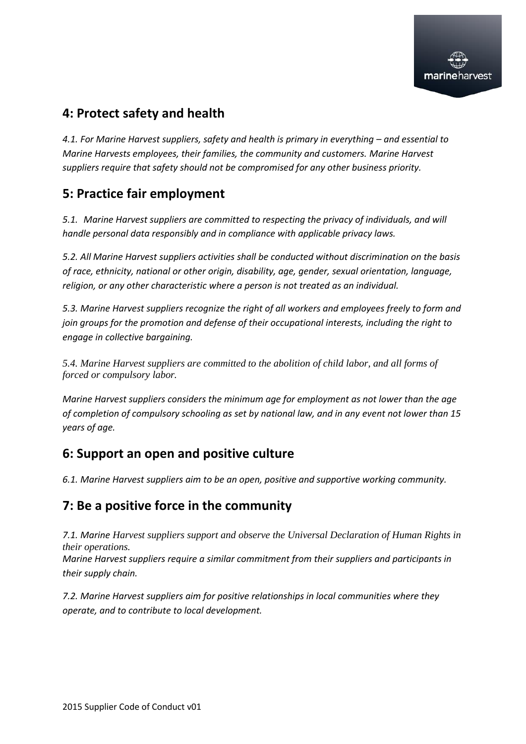

### **4: Protect safety and health**

*4.1. For Marine Harvest suppliers, safety and health is primary in everything – and essential to Marine Harvests employees, their families, the community and customers. Marine Harvest suppliers require that safety should not be compromised for any other business priority.*

# **5: Practice fair employment**

*5.1. Marine Harvest suppliers are committed to respecting the privacy of individuals, and will handle personal data responsibly and in compliance with applicable privacy laws.*

*5.2. All Marine Harvest suppliers activities shall be conducted without discrimination on the basis of race, ethnicity, national or other origin, disability, age, gender, sexual orientation, language, religion, or any other characteristic where a person is not treated as an individual.*

*5.3. Marine Harvest suppliers recognize the right of all workers and employees freely to form and join groups for the promotion and defense of their occupational interests, including the right to engage in collective bargaining.*

*5.4. Marine Harvest suppliers are committed to the abolition of child labor, and all forms of forced or compulsory labor.* 

*Marine Harvest suppliers considers the minimum age for employment as not lower than the age of completion of compulsory schooling as set by national law, and in any event not lower than 15 years of age.*

### **6: Support an open and positive culture**

*6.1. Marine Harvest suppliers aim to be an open, positive and supportive working community.*

### **7: Be a positive force in the community**

*7.1. Marine Harvest suppliers support and observe the Universal Declaration of Human Rights in their operations.*

*Marine Harvest suppliers require a similar commitment from their suppliers and participants in their supply chain.*

*7.2. Marine Harvest suppliers aim for positive relationships in local communities where they operate, and to contribute to local development.*